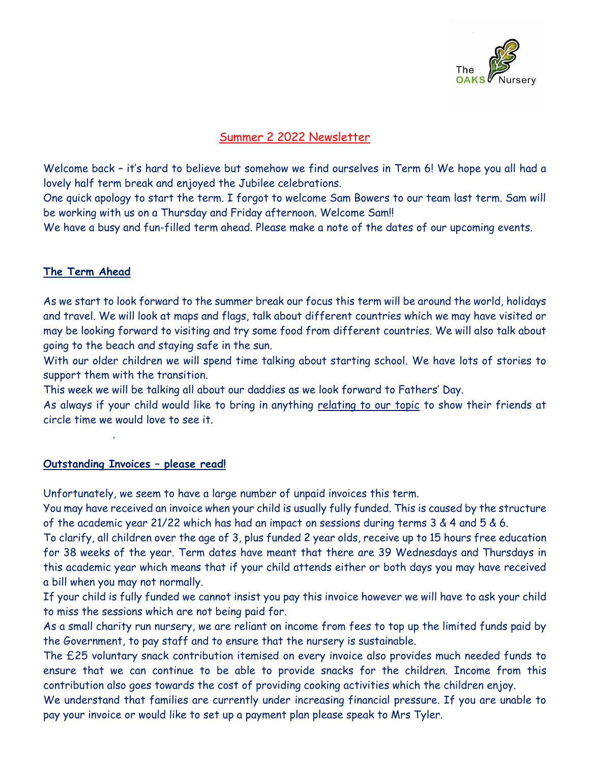

# Summer 2 2022 Newsletter

Welcome back – it's hard to believe but somehow we find ourselves in Term 6! We hope you all had a lovely half term break and enjoyed the Jubilee celebrations.

One quick apology to start the term. I forgot to welcome Sam Bowers to our team last term. Sam will be working with us on a Thursday and Friday afternoon. Welcome Sam!!

We have a busy and fun-filled term ahead. Please make a note of the dates of our upcoming events.

### **The Term Ahead**

As we start to look forward to the summer break our focus this term will be around the world, holidays and travel. We will look at maps and flags, talk about different countries which we may have visited or may be looking forward to visiting and try some food from different countries. We will also talk about going to the beach and staying safe in the sun.

With our older children we will spend time talking about starting school. We have lots of stories to support them with the transition.

This week we will be talking all about our daddies as we look forward to Fathers' Day.

As always if your child would like to bring in anything relating to our topic to show their friends at circle time we would love to see it.

# **Outstanding Invoices – please read!**

.

Unfortunately, we seem to have a large number of unpaid invoices this term.

You may have received an invoice when your child is usually fully funded. This is caused by the structure of the academic year 21/22 which has had an impact on sessions during terms 3 & 4 and 5 & 6.

To clarify, all children over the age of 3, plus funded 2 year olds, receive up to 15 hours free education for 38 weeks of the year. Term dates have meant that there are 39 Wednesdays and Thursdays in this academic year which means that if your child attends either or both days you may have received a bill when you may not normally.

If your child is fully funded we cannot insist you pay this invoice however we will have to ask your child to miss the sessions which are not being paid for.

As a small charity run nursery, we are reliant on income from fees to top up the limited funds paid by the Government, to pay staff and to ensure that the nursery is sustainable.

The £25 voluntary snack contribution itemised on every invoice also provides much needed funds to ensure that we can continue to be able to provide snacks for the children. Income from this contribution also goes towards the cost of providing cooking activities which the children enjoy.

We understand that families are currently under increasing financial pressure. If you are unable to pay your invoice or would like to set up a payment plan please speak to Mrs Tyler.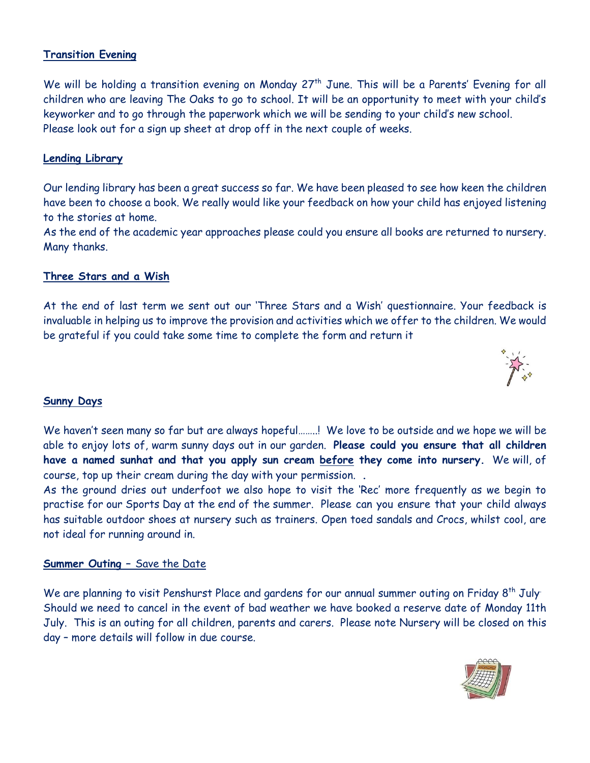## **Transition Evening**

We will be holding a transition evening on Monday 27<sup>th</sup> June. This will be a Parents' Evening for all children who are leaving The Oaks to go to school. It will be an opportunity to meet with your child's keyworker and to go through the paperwork which we will be sending to your child's new school. Please look out for a sign up sheet at drop off in the next couple of weeks.

#### **Lending Library**

Our lending library has been a great success so far. We have been pleased to see how keen the children have been to choose a book. We really would like your feedback on how your child has enjoyed listening to the stories at home.

As the end of the academic year approaches please could you ensure all books are returned to nursery. Many thanks.

#### **Three Stars and a Wish**

At the end of last term we sent out our 'Three Stars and a Wish' questionnaire. Your feedback is invaluable in helping us to improve the provision and activities which we offer to the children. We would be grateful if you could take some time to complete the form and return it



#### **Sunny Days**

We haven't seen many so far but are always hopeful........! We love to be outside and we hope we will be able to enjoy lots of, warm sunny days out in our garden. **Please could you ensure that all children have a named sunhat and that you apply sun cream before they come into nursery.** We will, of course, top up their cream during the day with your permission. **.**

As the ground dries out underfoot we also hope to visit the 'Rec' more frequently as we begin to practise for our Sports Day at the end of the summer. Please can you ensure that your child always has suitable outdoor shoes at nursery such as trainers. Open toed sandals and Crocs, whilst cool, are not ideal for running around in.

#### **Summer Outing –** Save the Date

We are planning to visit Penshurst Place and gardens for our annual summer outing on Friday 8<sup>th</sup> July. Should we need to cancel in the event of bad weather we have booked a reserve date of Monday 11th July. This is an outing for all children, parents and carers. Please note Nursery will be closed on this day – more details will follow in due course.

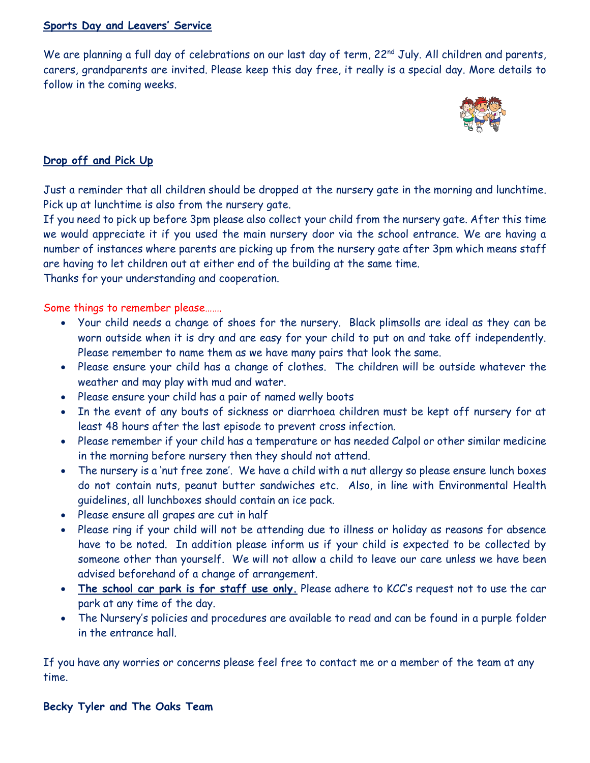#### **Sports Day and Leavers' Service**

We are planning a full day of celebrations on our last day of term, 22<sup>nd</sup> July. All children and parents, carers, grandparents are invited. Please keep this day free, it really is a special day. More details to follow in the coming weeks.



## **Drop off and Pick Up**

Just a reminder that all children should be dropped at the nursery gate in the morning and lunchtime. Pick up at lunchtime is also from the nursery gate.

If you need to pick up before 3pm please also collect your child from the nursery gate. After this time we would appreciate it if you used the main nursery door via the school entrance. We are having a number of instances where parents are picking up from the nursery gate after 3pm which means staff are having to let children out at either end of the building at the same time.

Thanks for your understanding and cooperation.

Some things to remember please…….

- Your child needs a change of shoes for the nursery. Black plimsolls are ideal as they can be worn outside when it is dry and are easy for your child to put on and take off independently. Please remember to name them as we have many pairs that look the same.
- Please ensure your child has a change of clothes. The children will be outside whatever the weather and may play with mud and water.
- Please ensure your child has a pair of named welly boots
- In the event of any bouts of sickness or diarrhoea children must be kept off nursery for at least 48 hours after the last episode to prevent cross infection.
- Please remember if your child has a temperature or has needed Calpol or other similar medicine in the morning before nursery then they should not attend.
- The nursery is a 'nut free zone'. We have a child with a nut allergy so please ensure lunch boxes do not contain nuts, peanut butter sandwiches etc. Also, in line with Environmental Health guidelines, all lunchboxes should contain an ice pack.
- Please ensure all grapes are cut in half
- Please ring if your child will not be attending due to illness or holiday as reasons for absence have to be noted. In addition please inform us if your child is expected to be collected by someone other than yourself. We will not allow a child to leave our care unless we have been advised beforehand of a change of arrangement.
- **The school car park is for staff use only.** Please adhere to KCC's request not to use the car park at any time of the day.
- The Nursery's policies and procedures are available to read and can be found in a purple folder in the entrance hall.

If you have any worries or concerns please feel free to contact me or a member of the team at any time.

**Becky Tyler and The Oaks Team**